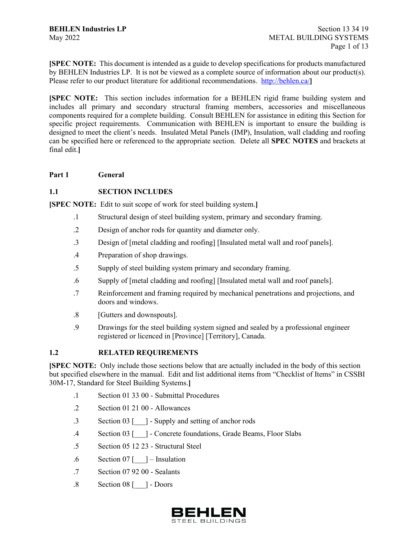**[SPEC NOTE:** This document is intended as a guide to develop specifications for products manufactured by BEHLEN Industries LP. It is not be viewed as a complete source of information about our product(s). Please refer to our product literature for additional recommendations.<http://behlen.ca/>

**[SPEC NOTE:** This section includes information for a BEHLEN rigid frame building system and includes all primary and secondary structural framing members, accessories and miscellaneous components required for a complete building. Consult BEHLEN for assistance in editing this Section for specific project requirements. Communication with BEHLEN is important to ensure the building is designed to meet the client's needs. Insulated Metal Panels (IMP), Insulation, wall cladding and roofing can be specified here or referenced to the appropriate section. Delete all **SPEC NOTES** and brackets at final edit.**]**

### **Part 1 General**

## **1.1 SECTION INCLUDES**

**[SPEC NOTE:** Edit to suit scope of work for steel building system.**]**

- .1 Structural design of steel building system, primary and secondary framing.
- .2 Design of anchor rods for quantity and diameter only.
- .3 Design of [metal cladding and roofing] [Insulated metal wall and roof panels].
- .4 Preparation of shop drawings.
- .5 Supply of steel building system primary and secondary framing.
- .6 Supply of [metal cladding and roofing] [Insulated metal wall and roof panels].
- .7 Reinforcement and framing required by mechanical penetrations and projections, and doors and windows.
- .8 [Gutters and downspouts].
- .9 Drawings for the steel building system signed and sealed by a professional engineer registered or licenced in [Province] [Territory], Canada.

### **1.2 RELATED REQUIREMENTS**

**[SPEC NOTE:** Only include those sections below that are actually included in the body of this section but specified elsewhere in the manual. Edit and list additional items from "Checklist of Items" in CSSBI 30M-17, Standard for Steel Building Systems.**]**

- .1 Section 01 33 00 Submittal Procedures
- .2 Section 01 21 00 Allowances
- .3 Section 03 [\_\_\_] Supply and setting of anchor rods
- .4 Section 03 [\_\_\_] Concrete foundations, Grade Beams, Floor Slabs
- .5 Section 05 12 23 Structural Steel
- .6 Section 07 [\_\_\_] Insulation
- .7 Section 07 92 00 Sealants
- .8 Section 08 [\_\_\_] Doors

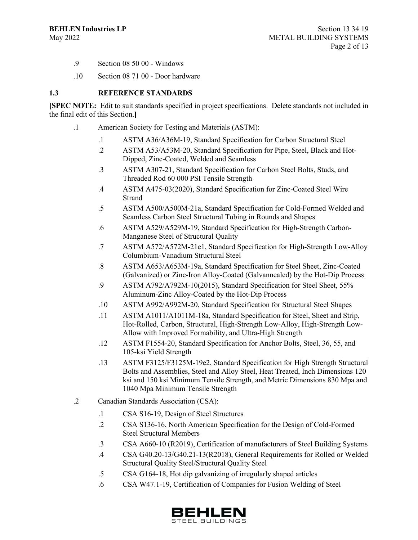- .9 Section 08 50 00 Windows
- .10 Section 08 71 00 Door hardware

#### **1.3 REFERENCE STANDARDS**

**[SPEC NOTE:** Edit to suit standards specified in project specifications. Delete standards not included in the final edit of this Section.**]**

- .1 American Society for Testing and Materials (ASTM):
	- .1 ASTM A36/A36M-19, Standard Specification for Carbon Structural Steel
	- .2 ASTM A53/A53M-20, Standard Specification for Pipe, Steel, Black and Hot-Dipped, Zinc-Coated, Welded and Seamless
	- .3 ASTM A307-21, Standard Specification for Carbon Steel Bolts, Studs, and Threaded Rod 60 000 PSI Tensile Strength
	- .4 ASTM A475-03(2020), Standard Specification for Zinc-Coated Steel Wire Strand
	- .5 ASTM A500/A500M-21a, Standard Specification for Cold-Formed Welded and Seamless Carbon Steel Structural Tubing in Rounds and Shapes
	- .6 ASTM A529/A529M-19, Standard Specification for High-Strength Carbon-Manganese Steel of Structural Quality
	- .7 ASTM A572/A572M-21e1, Standard Specification for High-Strength Low-Alloy Columbium-Vanadium Structural Steel
	- .8 ASTM A653/A653M-19a, Standard Specification for Steel Sheet, Zinc-Coated (Galvanized) or Zinc-Iron Alloy-Coated (Galvannealed) by the Hot-Dip Process
	- .9 ASTM A792/A792M-10(2015), Standard Specification for Steel Sheet, 55% Aluminum-Zinc Alloy-Coated by the Hot-Dip Process
	- .10 ASTM A992/A992M-20, Standard Specification for Structural Steel Shapes
	- .11 ASTM A1011/A1011M-18a, Standard Specification for Steel, Sheet and Strip, Hot-Rolled, Carbon, Structural, High-Strength Low-Alloy, High-Strength Low-Allow with Improved Formability, and Ultra-High Strength
	- .12 ASTM F1554-20, Standard Specification for Anchor Bolts, Steel, 36, 55, and 105-ksi Yield Strength
	- .13 ASTM F3125/F3125M-19e2, Standard Specification for High Strength Structural Bolts and Assemblies, Steel and Alloy Steel, Heat Treated, Inch Dimensions 120 ksi and 150 ksi Minimum Tensile Strength, and Metric Dimensions 830 Mpa and 1040 Mpa Minimum Tensile Strength
- .2 Canadian Standards Association (CSA):
	- .1 CSA S16-19, Design of Steel Structures
	- .2 CSA S136-16, North American Specification for the Design of Cold-Formed Steel Structural Members
	- .3 CSA A660-10 (R2019), Certification of manufacturers of Steel Building Systems
	- .4 CSA G40.20-13/G40.21-13(R2018), General Requirements for Rolled or Welded Structural Quality Steel/Structural Quality Steel
	- .5 CSA G164-18, Hot dip galvanizing of irregularly shaped articles
	- .6 CSA W47.1-19, Certification of Companies for Fusion Welding of Steel

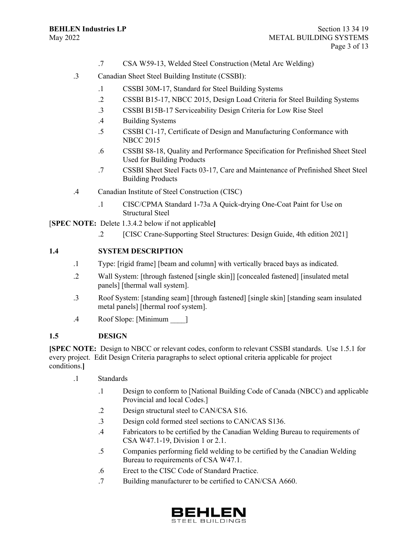- .7 CSA W59-13, Welded Steel Construction (Metal Arc Welding)
- .3 Canadian Sheet Steel Building Institute (CSSBI):
	- .1 CSSBI 30M-17, Standard for Steel Building Systems
	- .2 CSSBI B15-17, NBCC 2015, Design Load Criteria for Steel Building Systems
	- .3 CSSBI B15B-17 Serviceability Design Criteria for Low Rise Steel
	- .4 Building Systems
	- .5 CSSBI C1-17, Certificate of Design and Manufacturing Conformance with NBCC 2015
	- .6 CSSBI S8-18, Quality and Performance Specification for Prefinished Sheet Steel Used for Building Products
	- .7 CSSBI Sheet Steel Facts 03-17, Care and Maintenance of Prefinished Sheet Steel Building Products
- .4 Canadian Institute of Steel Construction (CISC)
	- .1 CISC/CPMA Standard 1-73a A Quick-drying One-Coat Paint for Use on Structural Steel

[**SPEC NOTE:** Delete 1.3.4.2 below if not applicable**]**

.2 [CISC Crane-Supporting Steel Structures: Design Guide, 4th edition 2021]

### **1.4 SYSTEM DESCRIPTION**

- .1 Type: [rigid frame] [beam and column] with vertically braced bays as indicated.
- .2 Wall System: [through fastened [single skin]] [concealed fastened] [insulated metal panels] [thermal wall system].
- .3 Roof System: [standing seam] [through fastened] [single skin] [standing seam insulated metal panels] [thermal roof system].
- .4 Roof Slope: [Minimum \_\_\_\_]

#### **1.5 DESIGN**

**[SPEC NOTE:** Design to NBCC or relevant codes, conform to relevant CSSBI standards. Use 1.5.1 for every project. Edit Design Criteria paragraphs to select optional criteria applicable for project conditions.**]**

- .1 Standards
	- .1 Design to conform to [National Building Code of Canada (NBCC) and applicable Provincial and local Codes.]
	- .2 Design structural steel to CAN/CSA S16.
	- .3 Design cold formed steel sections to CAN/CAS S136.
	- .4 Fabricators to be certified by the Canadian Welding Bureau to requirements of CSA W47.1-19, Division 1 or 2.1.
	- .5 Companies performing field welding to be certified by the Canadian Welding Bureau to requirements of CSA W47.1.
	- .6 Erect to the CISC Code of Standard Practice.
	- .7 Building manufacturer to be certified to CAN/CSA A660.

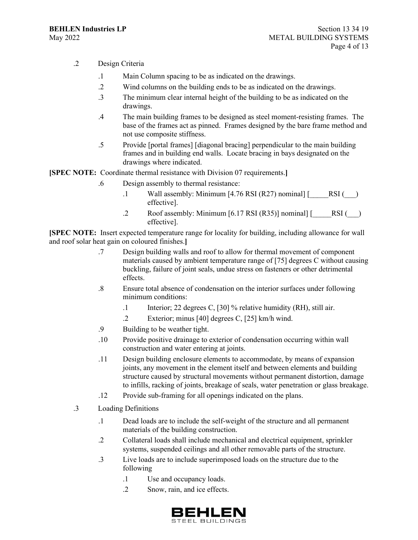- .2 Design Criteria
	- .1 Main Column spacing to be as indicated on the drawings.
	- .2 Wind columns on the building ends to be as indicated on the drawings.
	- .3 The minimum clear internal height of the building to be as indicated on the drawings.
	- .4 The main building frames to be designed as steel moment-resisting frames. The base of the frames act as pinned. Frames designed by the bare frame method and not use composite stiffness.
	- .5 Provide [portal frames] [diagonal bracing] perpendicular to the main building frames and in building end walls. Locate bracing in bays designated on the drawings where indicated.

**[SPEC NOTE:** Coordinate thermal resistance with Division 07 requirements.**]**

- .6 Design assembly to thermal resistance:
	- .1 Wall assembly: Minimum  $[4.76$  RSI  $(R27)$  nominal]  $[$  RSI  $($ effective].
	- .2 Roof assembly: Minimum [6.17 RSI (R35)] nominal]  $[$  RSI ( $)$ effective].

**[SPEC NOTE:** Insert expected temperature range for locality for building, including allowance for wall and roof solar heat gain on coloured finishes.**]**

- .7 Design building walls and roof to allow for thermal movement of component materials caused by ambient temperature range of [75] degrees C without causing buckling, failure of joint seals, undue stress on fasteners or other detrimental effects.
- .8 Ensure total absence of condensation on the interior surfaces under following minimum conditions:
	- .1 Interior; 22 degrees C, [30] % relative humidity (RH), still air.
	- .2 Exterior; minus [40] degrees C, [25] km/h wind.
- .9 Building to be weather tight.
- .10 Provide positive drainage to exterior of condensation occurring within wall construction and water entering at joints.
- .11 Design building enclosure elements to accommodate, by means of expansion joints, any movement in the element itself and between elements and building structure caused by structural movements without permanent distortion, damage to infills, racking of joints, breakage of seals, water penetration or glass breakage.
- .12 Provide sub-framing for all openings indicated on the plans.
- .3 Loading Definitions
	- .1 Dead loads are to include the self-weight of the structure and all permanent materials of the building construction.
	- .2 Collateral loads shall include mechanical and electrical equipment, sprinkler systems, suspended ceilings and all other removable parts of the structure.
	- .3 Live loads are to include superimposed loads on the structure due to the following
		- .1 Use and occupancy loads.
		- .2 Snow, rain, and ice effects.

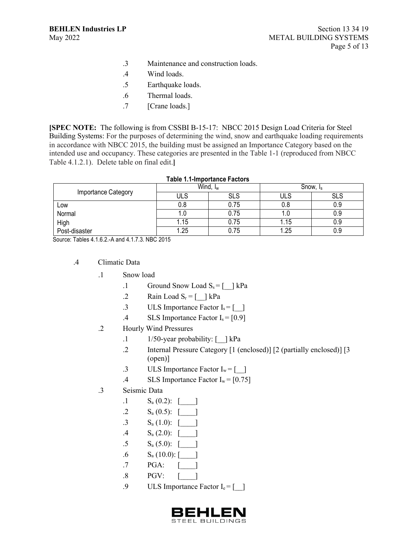- .3 Maintenance and construction loads.
- .4 Wind loads.
- .5 Earthquake loads.
- .6 Thermal loads.
- .7 [Crane loads.]

**[SPEC NOTE:** The following is from CSSBI B-15-17: NBCC 2015 Design Load Criteria for Steel Building Systems: For the purposes of determining the wind, snow and earthquake loading requirements in accordance with NBCC 2015, the building must be assigned an Importance Category based on the intended use and occupancy. These categories are presented in the Table 1-1 (reproduced from NBCC Table 4.1.2.1). Delete table on final edit.**]**

| <b>Table 1.1-Importance Factors</b> |                      |      |                      |            |
|-------------------------------------|----------------------|------|----------------------|------------|
| Importance Category                 | Wind, I <sub>w</sub> |      | Snow, I <sub>s</sub> |            |
|                                     | ULS                  | SLS  | ULS                  | <b>SLS</b> |
| Low                                 | 0.8                  | 0.75 | 0.8                  | 0.9        |
| Normal                              | 1.U                  | 0.75 |                      | 0.9        |
| High                                | 1.15                 | 0.75 | 1.15                 | 0.9        |
| Post-disaster                       | 1.25                 | 0.75 | 1.25                 | 0.9        |

Source: Tables 4.1.6.2.-A and 4.1.7.3. NBC 2015

- .4 Climatic Data
	- .1 Snow load
		- .1 Ground Snow Load  $S_s = \begin{bmatrix} \quad \\ \quad \end{bmatrix}$  kPa
		- .2 Rain Load  $S_r = \lceil \quad \rceil$  kPa
		- .3 ULS Importance Factor  $I_s = \begin{bmatrix} 1 \end{bmatrix}$
		- .4 SLS Importance Factor  $I_s = [0.9]$
	- .2 Hourly Wind Pressures
		- .1 1/50-year probability:  $\lceil \cdot \rceil$  kPa
		- .2 Internal Pressure Category [1 (enclosed)] [2 (partially enclosed)] [3 (open)]
		- .3 ULS Importance Factor  $I_w = [$  ]
		- .4 SLS Importance Factor  $I_w = [0.75]$
	- .3 Seismic Data
		- .1  $S_a (0.2):$  [\_\_\_\_\_]
		- .2  $S_a (0.5): \begin{bmatrix} \phantom{-} \end{bmatrix}$
		- .3  $S_a (1.0): \begin{bmatrix} \phantom{-} \end{bmatrix}$
		- .4  $S_a (2.0):$  [
		- .5  $S_a (5.0):$  [
		- .6  $S_a (10.0):$
		- .7 PGA: [\_\_\_\_]
		- .8 PGV: [\_\_\_\_]
		- .9 ULS Importance Factor  $I_e = \begin{bmatrix} \end{bmatrix}$

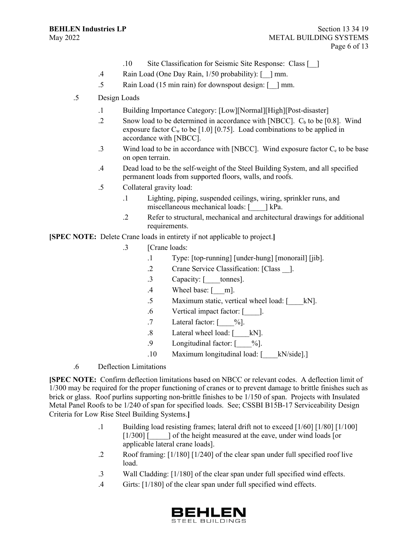- .10 Site Classification for Seismic Site Response: Class [\_\_]
- .4 Rain Load (One Day Rain, 1/50 probability): [\_\_] mm.
- .5 Rain Load (15 min rain) for downspout design: [\_\_] mm.
- .5 Design Loads
	- .1 Building Importance Category: [Low][Normal][High][Post-disaster]
	- .2 Snow load to be determined in accordance with [NBCC].  $C_b$  to be [0.8]. Wind exposure factor  $C_w$  to be [1.0] [0.75]. Load combinations to be applied in accordance with [NBCC].
	- .3 Wind load to be in accordance with [NBCC]. Wind exposure factor  $C_e$  to be base on open terrain.
	- .4 Dead load to be the self-weight of the Steel Building System, and all specified permanent loads from supported floors, walls, and roofs.
	- .5 Collateral gravity load:
		- .1 Lighting, piping, suspended ceilings, wiring, sprinkler runs, and miscellaneous mechanical loads: [\_\_\_\_] kPa.
		- .2 Refer to structural, mechanical and architectural drawings for additional requirements.

**[SPEC NOTE:** Delete Crane loads in entirety if not applicable to project.**]**

- .3 [Crane loads:
	- .1 Type: [top-running] [under-hung] [monorail] [jib].
	- .2 Crane Service Classification: [Class \_\_].
	- .3 Capacity: [\_\_\_\_tonnes].
	- .4 Wheel base: [\_\_\_m].
	- .5 Maximum static, vertical wheel load: [\_\_\_\_kN].
	- .6 Vertical impact factor: [\_\_\_\_].
	- .7 Lateral factor:  $\lceil \frac{9}{0} \rceil$ .
	- .8 Lateral wheel load: [\_\_\_\_\_kN].
	- .9 Longitudinal factor:  $\lceil \frac{9}{6} \rceil$ .
	- .10 Maximum longitudinal load: [\_\_\_\_kN/side].]
- .6 Deflection Limitations

**[SPEC NOTE:** Confirm deflection limitations based on NBCC or relevant codes. A deflection limit of 1/300 may be required for the proper functioning of cranes or to prevent damage to brittle finishes such as brick or glass. Roof purlins supporting non-brittle finishes to be 1/150 of span. Projects with Insulated Metal Panel Roofs to be 1/240 of span for specified loads. See; CSSBI B15B-17 Serviceability Design Criteria for Low Rise Steel Building Systems.**]**

- .1 Building load resisting frames; lateral drift not to exceed [1/60] [1/80] [1/100] [1/300] [\_\_\_\_\_] of the height measured at the eave, under wind loads [or applicable lateral crane loads].
- .2 Roof framing: [1/180] [1/240] of the clear span under full specified roof live load.
- .3 Wall Cladding: [1/180] of the clear span under full specified wind effects.
- .4 Girts: [1/180] of the clear span under full specified wind effects.

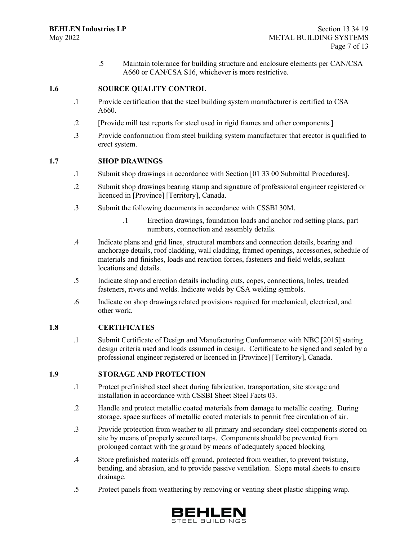.5 Maintain tolerance for building structure and enclosure elements per CAN/CSA A660 or CAN/CSA S16, whichever is more restrictive.

### **1.6 SOURCE QUALITY CONTROL**

- .1 Provide certification that the steel building system manufacturer is certified to CSA A660.
- .2 [Provide mill test reports for steel used in rigid frames and other components.]
- .3 Provide conformation from steel building system manufacturer that erector is qualified to erect system.

#### **1.7 SHOP DRAWINGS**

- .1 Submit shop drawings in accordance with Section [01 33 00 Submittal Procedures].
- .2 Submit shop drawings bearing stamp and signature of professional engineer registered or licenced in [Province] [Territory], Canada.
- .3 Submit the following documents in accordance with CSSBI 30M.
	- .1 Erection drawings, foundation loads and anchor rod setting plans, part numbers, connection and assembly details.
- .4 Indicate plans and grid lines, structural members and connection details, bearing and anchorage details, roof cladding, wall cladding, framed openings, accessories, schedule of materials and finishes, loads and reaction forces, fasteners and field welds, sealant locations and details.
- .5 Indicate shop and erection details including cuts, copes, connections, holes, treaded fasteners, rivets and welds. Indicate welds by CSA welding symbols.
- .6 Indicate on shop drawings related provisions required for mechanical, electrical, and other work.

#### **1.8 CERTIFICATES**

.1 Submit Certificate of Design and Manufacturing Conformance with NBC [2015] stating design criteria used and loads assumed in design. Certificate to be signed and sealed by a professional engineer registered or licenced in [Province] [Territory], Canada.

#### **1.9 STORAGE AND PROTECTION**

- .1 Protect prefinished steel sheet during fabrication, transportation, site storage and installation in accordance with CSSBI Sheet Steel Facts 03.
- .2 Handle and protect metallic coated materials from damage to metallic coating. During storage, space surfaces of metallic coated materials to permit free circulation of air.
- .3 Provide protection from weather to all primary and secondary steel components stored on site by means of properly secured tarps. Components should be prevented from prolonged contact with the ground by means of adequately spaced blocking
- .4 Store prefinished materials off ground, protected from weather, to prevent twisting, bending, and abrasion, and to provide passive ventilation. Slope metal sheets to ensure drainage.
- .5 Protect panels from weathering by removing or venting sheet plastic shipping wrap.

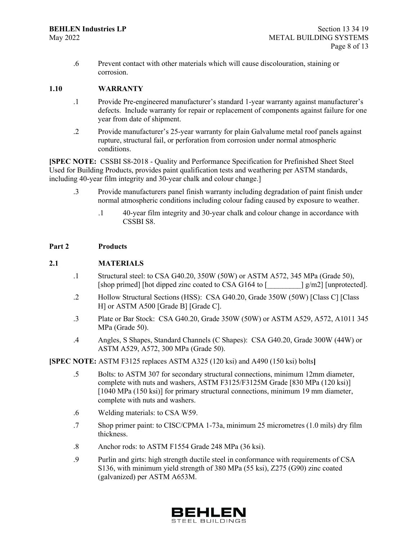.6 Prevent contact with other materials which will cause discolouration, staining or corrosion.

#### **1.10 WARRANTY**

- .1 Provide Pre-engineered manufacturer's standard 1-year warranty against manufacturer's defects. Include warranty for repair or replacement of components against failure for one year from date of shipment.
- .2 Provide manufacturer's 25-year warranty for plain Galvalume metal roof panels against rupture, structural fail, or perforation from corrosion under normal atmospheric conditions.

**[SPEC NOTE:** CSSBI S8-2018 - Quality and Performance Specification for Prefinished Sheet Steel Used for Building Products, provides paint qualification tests and weathering per ASTM standards, including 40-year film integrity and 30-year chalk and colour change.]

- .3 Provide manufacturers panel finish warranty including degradation of paint finish under normal atmospheric conditions including colour fading caused by exposure to weather.
	- .1 40-year film integrity and 30-year chalk and colour change in accordance with CSSBI S8.

#### **Part 2 Products**

#### **2.1 MATERIALS**

- .1 Structural steel: to CSA G40.20, 350W (50W) or ASTM A572, 345 MPa (Grade 50), [shop primed] [hot dipped zinc coated to CSA G164 to [  $\qquad$  ] g/m2] [unprotected].
- .2 Hollow Structural Sections (HSS): CSA G40.20, Grade 350W (50W) [Class C] [Class H] or ASTM A500 [Grade B] [Grade C].
- .3 Plate or Bar Stock: CSA G40.20, Grade 350W (50W) or ASTM A529, A572, A1011 345 MPa (Grade 50).
- .4 Angles, S Shapes, Standard Channels (C Shapes): CSA G40.20, Grade 300W (44W) or ASTM A529, A572, 300 MPa (Grade 50).

#### **[SPEC NOTE:** ASTM F3125 replaces ASTM A325 (120 ksi) and A490 (150 ksi) bolts**]**

- .5 Bolts: to ASTM 307 for secondary structural connections, minimum 12mm diameter, complete with nuts and washers, ASTM F3125/F3125M Grade [830 MPa (120 ksi)] [1040 MPa (150 ksi)] for primary structural connections, minimum 19 mm diameter, complete with nuts and washers.
- .6 Welding materials: to CSA W59.
- .7 Shop primer paint: to CISC/CPMA 1-73a, minimum 25 micrometres (1.0 mils) dry film thickness.
- .8 Anchor rods: to ASTM F1554 Grade 248 MPa (36 ksi).
- .9 Purlin and girts: high strength ductile steel in conformance with requirements of CSA S136, with minimum yield strength of 380 MPa (55 ksi), Z275 (G90) zinc coated (galvanized) per ASTM A653M.

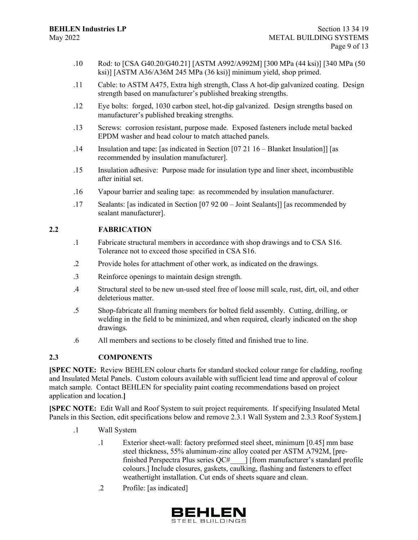- .10 Rod: to [CSA G40.20/G40.21] [ASTM A992/A992M] [300 MPa (44 ksi)] [340 MPa (50 ksi)] [ASTM A36/A36M 245 MPa (36 ksi)] minimum yield, shop primed.
- .11 Cable: to ASTM A475, Extra high strength, Class A hot-dip galvanized coating. Design strength based on manufacturer's published breaking strengths.
- .12 Eye bolts: forged, 1030 carbon steel, hot-dip galvanized. Design strengths based on manufacturer's published breaking strengths.
- .13 Screws: corrosion resistant, purpose made. Exposed fasteners include metal backed EPDM washer and head colour to match attached panels.
- .14 Insulation and tape: [as indicated in Section [07 21 16 Blanket Insulation]] [as recommended by insulation manufacturer].
- .15 Insulation adhesive: Purpose made for insulation type and liner sheet, incombustible after initial set.
- .16 Vapour barrier and sealing tape: as recommended by insulation manufacturer.
- .17 Sealants: [as indicated in Section [07 92 00 Joint Sealants]] [as recommended by sealant manufacturer].

### **2.2 FABRICATION**

- .1 Fabricate structural members in accordance with shop drawings and to CSA S16. Tolerance not to exceed those specified in CSA S16.
- .2 Provide holes for attachment of other work, as indicated on the drawings.
- .3 Reinforce openings to maintain design strength.
- .4 Structural steel to be new un-used steel free of loose mill scale, rust, dirt, oil, and other deleterious matter.
- .5 Shop-fabricate all framing members for bolted field assembly. Cutting, drilling, or welding in the field to be minimized, and when required, clearly indicated on the shop drawings.
- .6 All members and sections to be closely fitted and finished true to line.

## **2.3 COMPONENTS**

**[SPEC NOTE:** Review BEHLEN colour charts for standard stocked colour range for cladding, roofing and Insulated Metal Panels. Custom colours available with sufficient lead time and approval of colour match sample. Contact BEHLEN for speciality paint coating recommendations based on project application and location.**]**

**[SPEC NOTE:** Edit Wall and Roof System to suit project requirements. If specifying Insulated Metal Panels in this Section, edit specifications below and remove 2.3.1 Wall System and 2.3.3 Roof System.**]**

- .1 Wall System
	- .1 Exterior sheet-wall: factory preformed steel sheet, minimum [0.45] mm base steel thickness, 55% aluminum-zinc alloy coated per ASTM A792M, [prefinished Perspectra Plus series QC#\_\_\_\_] [from manufacturer's standard profile colours.] Include closures, gaskets, caulking, flashing and fasteners to effect weathertight installation. Cut ends of sheets square and clean.
	- .2 Profile: [as indicated]

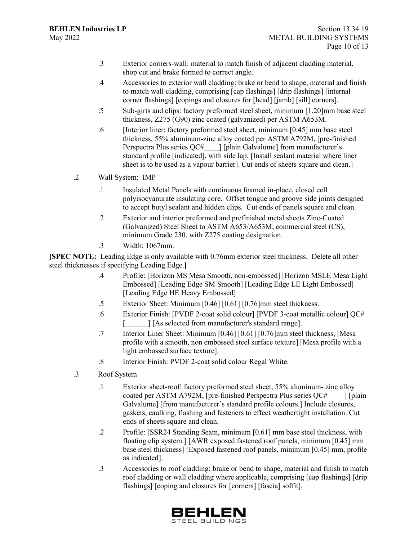- .3 Exterior corners-wall: material to match finish of adjacent cladding material, shop cut and brake formed to correct angle.
- .4 Accessories to exterior wall cladding: brake or bend to shape, material and finish to match wall cladding, comprising [cap flashings] [drip flashings] [internal corner flashings] [copings and closures for [head] [jamb] [sill] corners].
- .5 Sub-girts and clips: factory preformed steel sheet, minimum [1.20]mm base steel thickness, Z275 (G90) zinc coated (galvanized) per ASTM A653M.
- .6 [Interior liner: factory preformed steel sheet, minimum [0.45] mm base steel thickness, 55% aluminum-zinc alloy coated per ASTM A792M, [pre-finished Perspectra Plus series QC# ] [plain Galvalume] from manufacturer's standard profile [indicated], with side lap. [Install sealant material where liner sheet is to be used as a vapour barrier]. Cut ends of sheets square and clean.]
- .2 Wall System: IMP
	- .1 Insulated Metal Panels with continuous foamed in-place, closed cell polyisocyanurate insulating core. Offset tongue and groove side joints designed to accept butyl sealant and hidden clips. Cut ends of panels square and clean.
	- .2 Exterior and interior preformed and prefinished metal sheets Zinc-Coated (Galvanized) Steel Sheet to ASTM A653/A653M, commercial steel (CS), minimum Grade 230, with Z275 coating designation.
	- .3 Width: 1067mm.

**[SPEC NOTE:** Leading Edge is only available with 0.76mm exterior steel thickness. Delete all other steel thicknesses if specifying Leading Edge.**]**

- .4 Profile: [Horizon MS Mesa Smooth, non-embossed] [Horizon MSLE Mesa Light Embossed] [Leading Edge SM Smooth] [Leading Edge LE Light Embossed] [Leading Edge HE Heavy Embossed]
- .5 Exterior Sheet: Minimum [0.46] [0.61] [0.76]mm steel thickness.
- .6 Exterior Finish: [PVDF 2-coat solid colour] [PVDF 3-coat metallic colour] QC# [\_\_\_\_\_\_] [As selected from manufacturer's standard range].
- .7 Interior Liner Sheet: Minimum [0.46] [0.61] [0.76]mm steel thickness, [Mesa profile with a smooth, non embossed steel surface texture] [Mesa profile with a light embossed surface texture].
- .8 Interior Finish: PVDF 2-coat solid colour Regal White.
- .3 Roof System
	- .1 Exterior sheet-roof: factory preformed steel sheet, 55% aluminum- zinc alloy coated per ASTM A792M, [pre-finished Perspectra Plus series QC# ] [plain Galvalume] [from manufacturer's standard profile colours.] Include closures, gaskets, caulking, flashing and fasteners to effect weathertight installation. Cut ends of sheets square and clean.
	- .2 Profile: [SSR24 Standing Seam, minimum [0.61] mm base steel thickness, with floating clip system.] [AWR exposed fastened roof panels, minimum [0.45] mm base steel thickness] [Exposed fastened roof panels, minimum [0.45] mm, profile as indicated].
	- .3 Accessories to roof cladding: brake or bend to shape, material and finish to match roof cladding or wall cladding where applicable, comprising [cap flashings] [drip flashings] [coping and closures for [corners] [fascia] soffit].

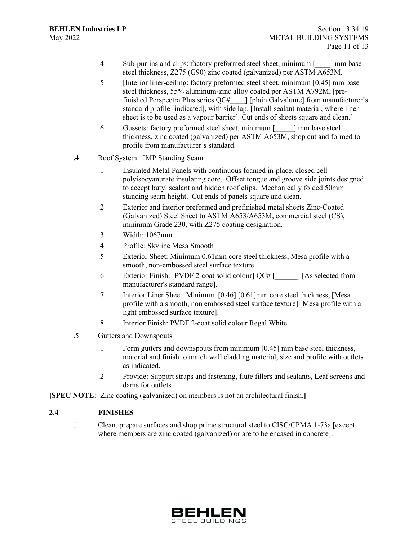- .4 Sub-purlins and clips: factory preformed steel sheet, minimum [\_\_\_\_] mm base steel thickness, Z275 (G90) zinc coated (galvanized) per ASTM A653M.
- .5 [Interior liner-ceiling: factory preformed steel sheet, minimum [0.45] mm base steel thickness, 55% aluminum-zinc alloy coated per ASTM A792M, [prefinished Perspectra Plus series QC#\_\_\_\_] [plain Galvalume] from manufacturer's standard profile [indicated], with side lap. [Install sealant material, where liner sheet is to be used as a vapour barrier]. Cut ends of sheets square and clean.]
- .6 Gussets: factory preformed steel sheet, minimum [\_\_\_\_\_] mm base steel thickness, zinc coated (galvanized) per ASTM A653M, shop cut and formed to profile from manufacturer's standard.
- .4 Roof System: IMP Standing Seam
	- .1 Insulated Metal Panels with continuous foamed in-place, closed cell polyisocyanurate insulating core. Offset tongue and groove side joints designed to accept butyl sealant and hidden roof clips. Mechanically folded 50mm standing seam height. Cut ends of panels square and clean.
	- .2 Exterior and interior preformed and prefinished metal sheets Zinc-Coated (Galvanized) Steel Sheet to ASTM A653/A653M, commercial steel (CS), minimum Grade 230, with Z275 coating designation.
	- .3 Width: 1067mm.
	- .4 Profile: Skyline Mesa Smooth
	- .5 Exterior Sheet: Minimum 0.61mm core steel thickness, Mesa profile with a smooth, non-embossed steel surface texture.
	- .6 Exterior Finish: [PVDF 2-coat solid colour] QC# [\_\_\_\_\_\_] [As selected from manufacturer's standard range].
	- .7 Interior Liner Sheet: Minimum [0.46] [0.61]mm core steel thickness, [Mesa profile with a smooth, non embossed steel surface texture] [Mesa profile with a light embossed surface texture].
	- .8 Interior Finish: PVDF 2-coat solid colour Regal White.
- .5 Gutters and Downspouts
	- .1 Form gutters and downspouts from minimum [0.45] mm base steel thickness, material and finish to match wall cladding material, size and profile with outlets as indicated.
	- .2 Provide: Support straps and fastening, flute fillers and sealants, Leaf screens and dams for outlets.
- **[SPEC NOTE:** Zinc coating (galvanized) on members is not an architectural finish.**]**

## **2.4 FINISHES**

.1 Clean, prepare surfaces and shop prime structural steel to CISC/CPMA 1-73a [except where members are zinc coated (galvanized) or are to be encased in concrete].

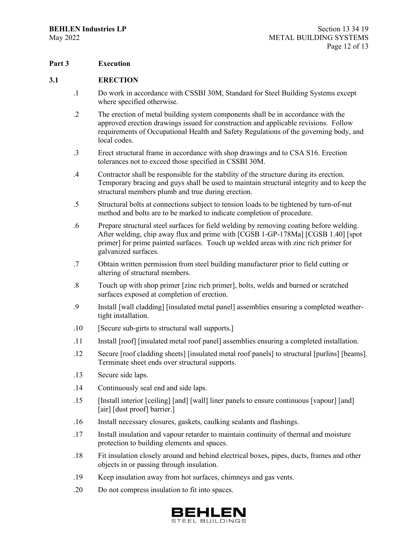### **Part 3 Execution**

#### **3.1 ERECTION**

- .1 Do work in accordance with CSSBI 30M, Standard for Steel Building Systems except where specified otherwise.
- .2 The erection of metal building system components shall be in accordance with the approved erection drawings issued for construction and applicable revisions. Follow requirements of Occupational Health and Safety Regulations of the governing body, and local codes.
- .3 Erect structural frame in accordance with shop drawings and to CSA S16. Erection tolerances not to exceed those specified in CSSBI 30M.
- .4 Contractor shall be responsible for the stability of the structure during its erection. Temporary bracing and guys shall be used to maintain structural integrity and to keep the structural members plumb and true during erection.
- .5 Structural bolts at connections subject to tension loads to be tightened by turn-of-nut method and bolts are to be marked to indicate completion of procedure.
- .6 Prepare structural steel surfaces for field welding by removing coating before welding. After welding, chip away flux and prime with [CGSB 1-GP-178Ma] [CGSB 1.40] [spot primer] for prime painted surfaces. Touch up welded areas with zinc rich primer for galvanized surfaces.
- .7 Obtain written permission from steel building manufacturer prior to field cutting or altering of structural members.
- .8 Touch up with shop primer [zinc rich primer], bolts, welds and burned or scratched surfaces exposed at completion of erection.
- .9 Install [wall cladding] [insulated metal panel] assemblies ensuring a completed weathertight installation.
- .10 [Secure sub-girts to structural wall supports.]
- .11 Install [roof] [insulated metal roof panel] assemblies ensuring a completed installation.
- .12 Secure [roof cladding sheets] [insulated metal roof panels] to structural [purlins] [beams]. Terminate sheet ends over structural supports.
- .13 Secure side laps.
- .14 Continuously seal end and side laps.
- .15 [Install interior [ceiling] [and] [wall] liner panels to ensure continuous [vapour] [and] [air] [dust proof] barrier.]
- .16 Install necessary closures, gaskets, caulking sealants and flashings.
- .17 Install insulation and vapour retarder to maintain continuity of thermal and moisture protection to building elements and spaces.
- .18 Fit insulation closely around and behind electrical boxes, pipes, ducts, frames and other objects in or passing through insulation.
- .19 Keep insulation away from hot surfaces, chimneys and gas vents.
- .20 Do not compress insulation to fit into spaces.